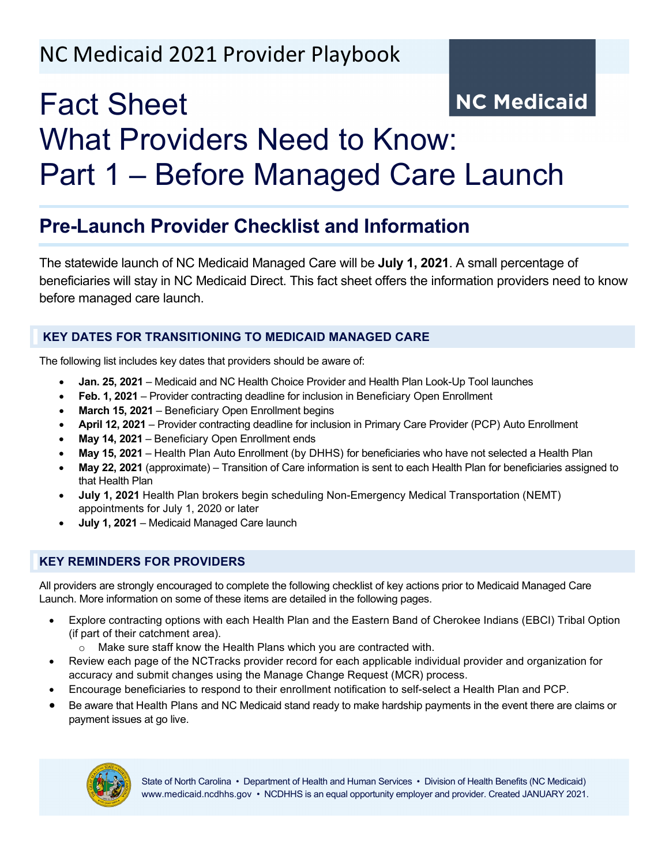# NC Medicaid 2021 Provider Playbook

# **NC Medicaid** Fact Sheet What Providers Need to Know: Part 1 – Before Managed Care Launch

## **Pre-Launch Provider Checklist and Information**

The statewide launch of NC Medicaid Managed Care will be **July 1, 2021**. A small percentage of beneficiaries will stay in NC Medicaid Direct. This fact sheet offers the information providers need to know before managed care launch.

### **KEY DATES FOR TRANSITIONING TO MEDICAID MANAGED CARE**

The following list includes key dates that providers should be aware of:

- **Jan. 25, 2021** Medicaid and NC Health Choice Provider and Health Plan Look-Up Tool launches
- **Feb. 1, 2021** Provider contracting deadline for inclusion in Beneficiary Open Enrollment
- **March 15, 2021** Beneficiary Open Enrollment begins
- **April 12, 2021** Provider contracting deadline for inclusion in Primary Care Provider (PCP) Auto Enrollment
- **May 14, 2021** Beneficiary Open Enrollment ends
- **May 15, 2021** Health Plan Auto Enrollment (by DHHS) for beneficiaries who have not selected a Health Plan
- **May 22, 2021** (approximate) Transition of Care information is sent to each Health Plan for beneficiaries assigned to that Health Plan
- **July 1, 2021** Health Plan brokers begin scheduling Non-Emergency Medical Transportation (NEMT) appointments for July 1, 2020 or later
- **July 1, 2021** Medicaid Managed Care launch

### **KEY REMINDERS FOR PROVIDERS**

All providers are strongly encouraged to complete the following checklist of key actions prior to Medicaid Managed Care Launch. More information on some of these items are detailed in the following pages.

- Explore contracting options with each Health Plan and the Eastern Band of Cherokee Indians (EBCI) Tribal Option (if part of their catchment area).
	- o Make sure staff know the Health Plans which you are contracted with.
- Review each page of the NCTracks provider record for each applicable individual provider and organization for accuracy and submit changes using the Manage Change Request (MCR) process.
- Encourage beneficiaries to respond to their enrollment notification to self-select a Health Plan and PCP.
- Be aware that Health Plans and NC Medicaid stand ready to make hardship payments in the event there are claims or payment issues at go live.

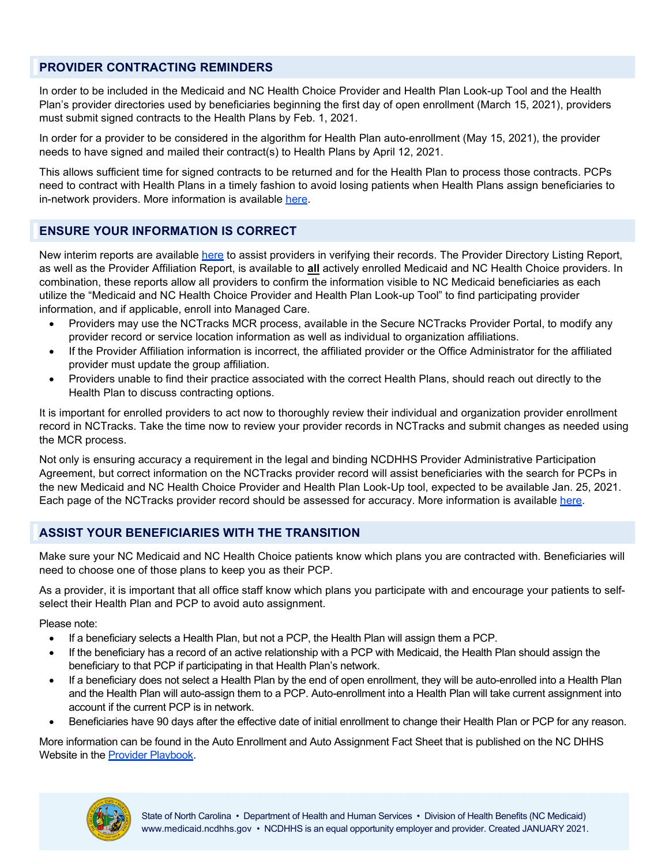#### **PROVIDER CONTRACTING REMINDERS**

In order to be included in the Medicaid and NC Health Choice Provider and Health Plan Look-up Tool and the Health Plan's provider directories used by beneficiaries beginning the first day of open enrollment (March 15, 2021), providers must submit signed contracts to the Health Plans by Feb. 1, 2021.

In order for a provider to be considered in the algorithm for Health Plan auto-enrollment (May 15, 2021), the provider needs to have signed and mailed their contract(s) to Health Plans by April 12, 2021.

This allows sufficient time for signed contracts to be returned and for the Health Plan to process those contracts. PCPs need to contract with Health Plans in a timely fashion to avoid losing patients when Health Plans assign beneficiaries to in-network providers. More information is available [here.](https://medicaid.ncdhhs.gov/blog/2020/11/19/provider-and-health-plan-contract-deadlines-inclusion-open-enrollment-and-auto)

#### **ENSURE YOUR INFORMATION IS CORRECT**

New interim reports are available [here](https://medicaid.ncdhhs.gov/providers/provider-playbook-medicaid-managed-care/resources) to assist providers in verifying their records. The Provider Directory Listing Report, as well as the Provider Affiliation Report, is available to **all** actively enrolled Medicaid and NC Health Choice providers. In combination, these reports allow all providers to confirm the information visible to NC Medicaid beneficiaries as each utilize the "Medicaid and NC Health Choice Provider and Health Plan Look-up Tool" to find participating provider information, and if applicable, enroll into Managed Care.

- Providers may use the NCTracks MCR process, available in the Secure NCTracks Provider Portal, to modify any provider record or service location information as well as individual to organization affiliations.
- If the Provider Affiliation information is incorrect, the affiliated provider or the Office Administrator for the affiliated provider must update the group affiliation.
- Providers unable to find their practice associated with the correct Health Plans, should reach out directly to the Health Plan to discuss contracting options.

It is important for enrolled providers to act now to thoroughly review their individual and organization provider enrollment record in NCTracks. Take the time now to review your provider records in NCTracks and submit changes as needed using the MCR process.

Not only is ensuring accuracy a requirement in the legal and binding NCDHHS Provider Administrative Participation Agreement, but correct information on the NCTracks provider record will assist beneficiaries with the search for PCPs in the new Medicaid and NC Health Choice Provider and Health Plan Look-Up tool, expected to be available Jan. 25, 2021. Each page of the NCTracks provider record should be assessed for accuracy. More information is available [here.](https://medicaid.ncdhhs.gov/blog/2020/09/25/ensure-your-information-displays-correctly-nc%E2%80%99s-provider-directory-tool-%E2%80%93-provider)

#### **ASSIST YOUR BENEFICIARIES WITH THE TRANSITION**

Make sure your NC Medicaid and NC Health Choice patients know which plans you are contracted with. Beneficiaries will need to choose one of those plans to keep you as their PCP.

As a provider, it is important that all office staff know which plans you participate with and encourage your patients to selfselect their Health Plan and PCP to avoid auto assignment.

Please note:

- If a beneficiary selects a Health Plan, but not a PCP, the Health Plan will assign them a PCP.
- If the beneficiary has a record of an active relationship with a PCP with Medicaid, the Health Plan should assign the beneficiary to that PCP if participating in that Health Plan's network.
- If a beneficiary does not select a Health Plan by the end of open enrollment, they will be auto-enrolled into a Health Plan and the Health Plan will auto-assign them to a PCP. Auto-enrollment into a Health Plan will take current assignment into account if the current PCP is in network.
- Beneficiaries have 90 days after the effective date of initial enrollment to change their Health Plan or PCP for any reason.

More information can be found in the Auto Enrollment and Auto Assignment Fact Sheet that is published on the NC DHHS Website in the [Provider Playbook.](https://medicaid.ncdhhs.gov/providers/provider-playbook-medicaid-managed-care/provider-playbook-readiness)